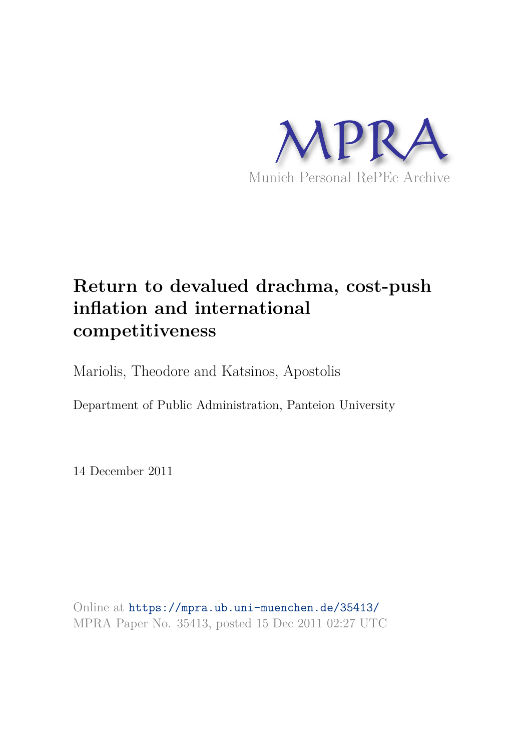

# **Return to devalued drachma, cost-push inflation and international competitiveness**

Mariolis, Theodore and Katsinos, Apostolis

Department of Public Administration, Panteion University

14 December 2011

Online at https://mpra.ub.uni-muenchen.de/35413/ MPRA Paper No. 35413, posted 15 Dec 2011 02:27 UTC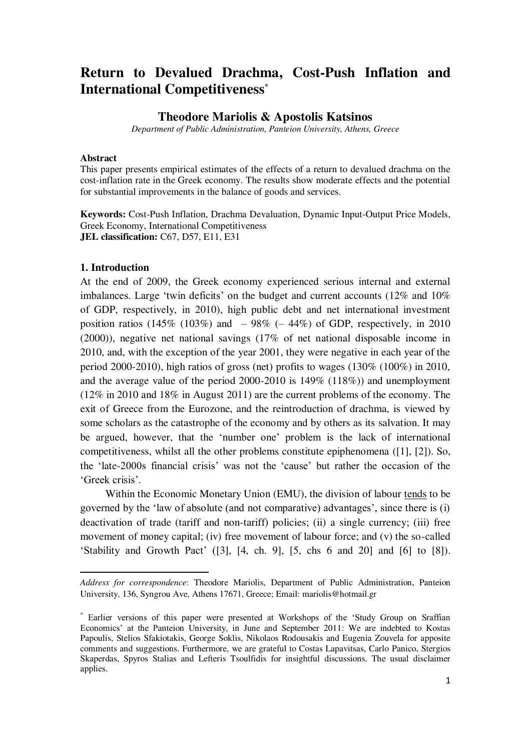## **Return to Devalued Drachma, Cost-Push Inflation and International Competitiveness\***

### **Theodore Mariolis & Apostolis Katsinos**

*Department of Public Administration, Panteion University, Athens, Greece* 

#### **Abstract**

This paper presents empirical estimates of the effects of a return to devalued drachma on the cost-inflation rate in the Greek economy. The results show moderate effects and the potential for substantial improvements in the balance of goods and services.

**Keywords:** Cost-Push Inflation, Drachma Devaluation, Dynamic Input-Output Price Models, Greek Economy, International Competitiveness **JEL classification:** C67, D57, E11, E31

#### **1. Introduction**

 $\overline{a}$ 

At the end of 2009, the Greek economy experienced serious internal and external imbalances. Large 'twin deficits' on the budget and current accounts (12% and 10%) of GDP, respectively, in 2010), high public debt and net international investment position ratios (145% (103%) and  $-98\%$  (-44%) of GDP, respectively, in 2010 (2000)), negative net national savings (17% of net national disposable income in 2010, and, with the exception of the year 2001, they were negative in each year of the period 2000-2010), high ratios of gross (net) profits to wages (130% (100%) in 2010, and the average value of the period 2000-2010 is 149% (118%)) and unemployment (12% in 2010 and 18% in August 2011) are the current problems of the economy. The exit of Greece from the Eurozone, and the reintroduction of drachma, is viewed by some scholars as the catastrophe of the economy and by others as its salvation. It may be argued, however, that the "number one" problem is the lack of international competitiveness, whilst all the other problems constitute epiphenomena ([1], [2]). So, the "late-2000s financial crisis" was not the "cause" but rather the occasion of the 'Greek crisis'.

 Within the Economic Monetary Union (EMU), the division of labour tends to be governed by the 'law of absolute (and not comparative) advantages', since there is (i) deactivation of trade (tariff and non-tariff) policies; (ii) a single currency; (iii) free movement of money capital; (iv) free movement of labour force; and (v) the so-called "Stability and Growth Pact"  $([3], [4, ch. 9], [5, chs 6 and 20]$  and  $[6]$  to  $[8]$ ).

*Address for correspondence*: Theodore Mariolis, Department of Public Administration, Panteion University, 136, Syngrou Ave, Athens 17671, Greece; Email: mariolis@hotmail.gr

<sup>\*</sup> Earlier versions of this paper were presented at Workshops of the "Study Group on Sraffian Economics" at the Panteion University, in June and September 2011: We are indebted to Kostas Papoulis, Stelios Sfakiotakis, George Soklis, Nikolaos Rodousakis and Eugenia Zouvela for apposite comments and suggestions. Furthermore, we are grateful to Costas Lapavitsas, Carlo Panico, Stergios Skaperdas, Spyros Stalias and Lefteris Tsoulfidis for insightful discussions. The usual disclaimer applies.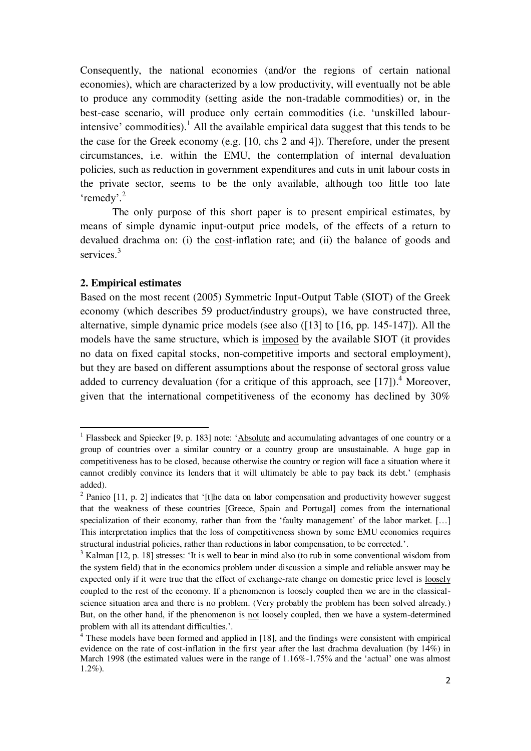Consequently, the national economies (and/or the regions of certain national economies), which are characterized by a low productivity, will eventually not be able to produce any commodity (setting aside the non-tradable commodities) or, in the best-case scenario, will produce only certain commodities (i.e. "unskilled labourintensive' commodities).<sup>1</sup> All the available empirical data suggest that this tends to be the case for the Greek economy (e.g. [10, chs 2 and 4]). Therefore, under the present circumstances, i.e. within the EMU, the contemplation of internal devaluation policies, such as reduction in government expenditures and cuts in unit labour costs in the private sector, seems to be the only available, although too little too late 'remedy'.<sup>2</sup>

 The only purpose of this short paper is to present empirical estimates, by means of simple dynamic input-output price models, of the effects of a return to devalued drachma on: (i) the cost-inflation rate; and (ii) the balance of goods and services.<sup>3</sup>

#### **2. Empirical estimates**

 $\overline{a}$ 

Based on the most recent (2005) Symmetric Input-Output Table (SIOT) of the Greek economy (which describes 59 product/industry groups), we have constructed three, alternative, simple dynamic price models (see also ([13] to [16, pp. 145-147]). All the models have the same structure, which is imposed by the available SIOT (it provides no data on fixed capital stocks, non-competitive imports and sectoral employment), but they are based on different assumptions about the response of sectoral gross value added to currency devaluation (for a critique of this approach, see  $[17]$ ).<sup>4</sup> Moreover, given that the international competitiveness of the economy has declined by 30%

<sup>&</sup>lt;sup>1</sup> Flassbeck and Spiecker [9, p. 183] note: 'Absolute and accumulating advantages of one country or a group of countries over a similar country or a country group are unsustainable. A huge gap in competitiveness has to be closed, because otherwise the country or region will face a situation where it cannot credibly convince its lenders that it will ultimately be able to pay back its debt." (emphasis added).

 $2$  Panico [11, p. 2] indicates that '[t]he data on labor compensation and productivity however suggest that the weakness of these countries [Greece, Spain and Portugal] comes from the international specialization of their economy, rather than from the 'faulty management' of the labor market. [...] This interpretation implies that the loss of competitiveness shown by some EMU economies requires structural industrial policies, rather than reductions in labor compensation, to be corrected.".

<sup>&</sup>lt;sup>3</sup> Kalman [12, p. 18] stresses: 'It is well to bear in mind also (to rub in some conventional wisdom from the system field) that in the economics problem under discussion a simple and reliable answer may be expected only if it were true that the effect of exchange-rate change on domestic price level is <u>loosely</u> coupled to the rest of the economy. If a phenomenon is loosely coupled then we are in the classicalscience situation area and there is no problem. (Very probably the problem has been solved already.) But, on the other hand, if the phenomenon is not loosely coupled, then we have a system-determined problem with all its attendant difficulties.".

<sup>&</sup>lt;sup>4</sup> These models have been formed and applied in [18], and the findings were consistent with empirical evidence on the rate of cost-inflation in the first year after the last drachma devaluation (by 14%) in March 1998 (the estimated values were in the range of 1.16%-1.75% and the 'actual' one was almost 1.2%).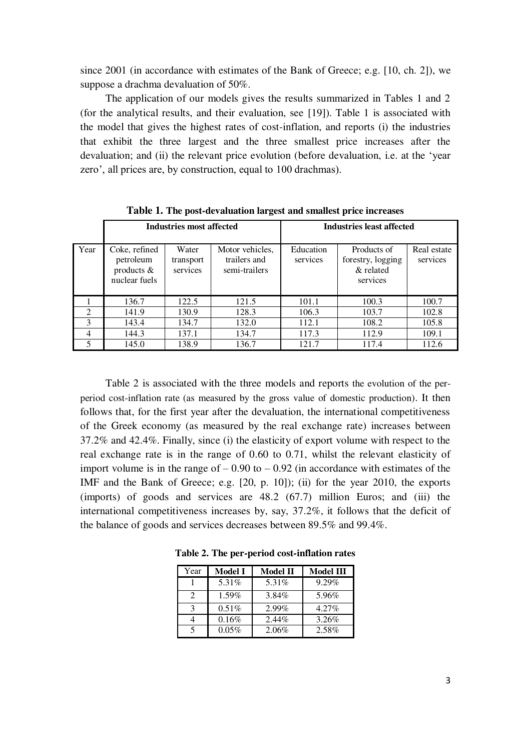since 2001 (in accordance with estimates of the Bank of Greece; e.g. [10, ch. 2]), we suppose a drachma devaluation of 50%.

 The application of our models gives the results summarized in Tables 1 and 2 (for the analytical results, and their evaluation, see [19]). Table 1 is associated with the model that gives the highest rates of cost-inflation, and reports (i) the industries that exhibit the three largest and the three smallest price increases after the devaluation; and (ii) the relevant price evolution (before devaluation, i.e. at the "year zero', all prices are, by construction, equal to 100 drachmas).

|                | <b>Industries most affected</b>                             |                                |                                                  | <b>Industries least affected</b> |                                                           |                         |  |  |
|----------------|-------------------------------------------------------------|--------------------------------|--------------------------------------------------|----------------------------------|-----------------------------------------------------------|-------------------------|--|--|
| Year           | Coke, refined<br>petroleum<br>products $&$<br>nuclear fuels | Water<br>transport<br>services | Motor vehicles,<br>trailers and<br>semi-trailers | Education<br>services            | Products of<br>forestry, logging<br>& related<br>services | Real estate<br>services |  |  |
|                | 136.7                                                       | 122.5                          | 121.5                                            | 101.1                            | 100.3                                                     | 100.7                   |  |  |
| $\mathfrak{D}$ | 141.9                                                       | 130.9                          | 128.3                                            | 106.3                            | 103.7                                                     | 102.8                   |  |  |
| 3              | 143.4                                                       | 134.7                          | 132.0                                            | 112.1                            | 108.2                                                     | 105.8                   |  |  |
| $\overline{4}$ | 144.3                                                       | 137.1                          | 134.7                                            | 117.3                            | 112.9                                                     | 109.1                   |  |  |
|                | 145.0                                                       | 138.9                          | 136.7                                            | 121.7                            | 117.4                                                     | 112.6                   |  |  |

**Table 1. The post-devaluation largest and smallest price increases**

 Table 2 is associated with the three models and reports the evolution of the perperiod cost-inflation rate (as measured by the gross value of domestic production). It then follows that, for the first year after the devaluation, the international competitiveness of the Greek economy (as measured by the real exchange rate) increases between 37.2% and 42.4%. Finally, since (i) the elasticity of export volume with respect to the real exchange rate is in the range of 0.60 to 0.71, whilst the relevant elasticity of import volume is in the range of  $-0.90$  to  $-0.92$  (in accordance with estimates of the IMF and the Bank of Greece; e.g. [20, p. 10]); (ii) for the year 2010, the exports (imports) of goods and services are 48.2 (67.7) million Euros; and (iii) the international competitiveness increases by, say, 37.2%, it follows that the deficit of the balance of goods and services decreases between 89.5% and 99.4%.

**Table 2. The per-period cost-inflation rates**

| Year | <b>Model I</b> | <b>Model II</b> | <b>Model III</b> |
|------|----------------|-----------------|------------------|
|      | 5.31%          | 5.31%           | 9.29%            |
| 2    | $1.59\%$       | 3.84%           | 5.96%            |
| 3    | $0.51\%$       | $2.99\%$        | $4.27\%$         |
|      | 0.16%          | $2.44\%$        | 3.26%            |
| .5   | $0.05\%$       | 2.06%           | 2.58%            |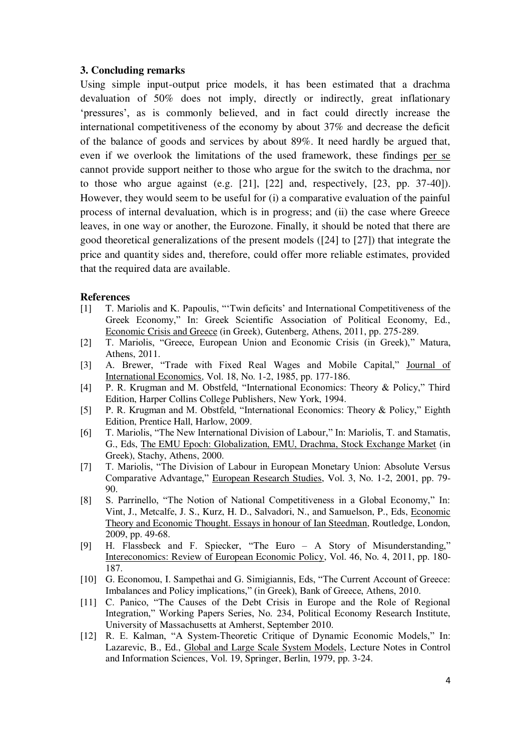#### **3. Concluding remarks**

Using simple input-output price models, it has been estimated that a drachma devaluation of 50% does not imply, directly or indirectly, great inflationary "pressures", as is commonly believed, and in fact could directly increase the international competitiveness of the economy by about 37% and decrease the deficit of the balance of goods and services by about 89%. It need hardly be argued that, even if we overlook the limitations of the used framework, these findings per se cannot provide support neither to those who argue for the switch to the drachma, nor to those who argue against (e.g. [21], [22] and, respectively, [23, pp. 37-40]). However, they would seem to be useful for (i) a comparative evaluation of the painful process of internal devaluation, which is in progress; and (ii) the case where Greece leaves, in one way or another, the Eurozone. Finally, it should be noted that there are good theoretical generalizations of the present models ([24] to [27]) that integrate the price and quantity sides and, therefore, could offer more reliable estimates, provided that the required data are available.

#### **References**

- [1] T. Mariolis and K. Papoulis, "Twin deficits' and International Competitiveness of the Greek Economy," In: Greek Scientific Association of Political Economy, Ed., Economic Crisis and Greece (in Greek), Gutenberg, Athens, 2011, pp. 275-289.
- [2] T. Mariolis, "Greece, European Union and Economic Crisis (in Greek)," Matura, Athens, 2011.
- [3] A. Brewer, "Trade with Fixed Real Wages and Mobile Capital," Journal of International Economics, Vol. 18, No. 1-2, 1985, pp. 177-186.
- [4] P. R. Krugman and M. Obstfeld, "International Economics: Theory & Policy," Third Edition, Harper Collins College Publishers, New York, 1994.
- [5] P. R. Krugman and M. Obstfeld, "International Economics: Theory & Policy," Eighth Edition, Prentice Hall, Harlow, 2009.
- [6] T. Mariolis, "The New International Division of Labour," In: Mariolis, T. and Stamatis, G., Eds, The EMU Epoch: Globalization, EMU, Drachma, Stock Exchange Market (in Greek), Stachy, Athens, 2000.
- [7] T. Mariolis, "The Division of Labour in European Monetary Union: Absolute Versus Comparative Advantage," European Research Studies, Vol. 3, No. 1-2, 2001, pp. 79- 90.
- [8] S. Parrinello, "The Notion of National Competitiveness in a Global Economy," In: Vint, J., Metcalfe, J. S., Kurz, H. D., Salvadori, N., and Samuelson, P., Eds, Economic Theory and Economic Thought. Essays in honour of Ian Steedman, Routledge, London, 2009, pp. 49-68.
- [9] H. Flassbeck and F. Spiecker, "The Euro A Story of Misunderstanding," Intereconomics: Review of European Economic Policy, Vol. 46, No. 4, 2011, pp. 180- 187.
- [10] G. Economou, I. Sampethai and G. Simigiannis, Eds, "The Current Account of Greece: Imbalances and Policy implications," (in Greek), Bank of Greece, Athens, 2010.
- [11] C. Panico, "The Causes of the Debt Crisis in Europe and the Role of Regional Integration," Working Papers Series, No. 234, Political Economy Research Institute, University of Massachusetts at Amherst, September 2010.
- [12] R. E. Kalman, "A System-Theoretic Critique of Dynamic Economic Models," In: Lazarevic, B., Ed., Global and Large Scale System Models, Lecture Notes in Control and Information Sciences, Vol. 19, Springer, Berlin, 1979, pp. 3-24.